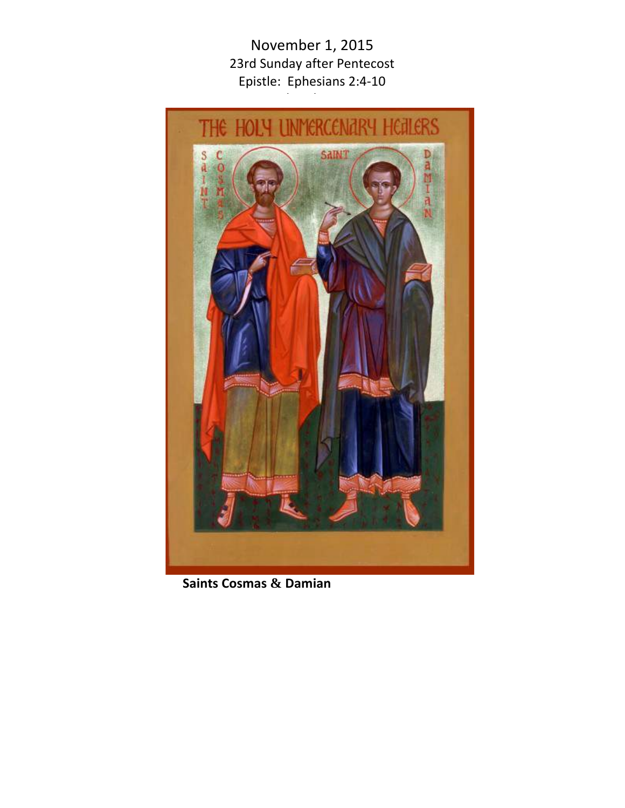November 1, 2015 23rd Sunday after Pentecost Epistle: Ephesians 2:4-10 Gospel: State State Oriental<br>State State State Oriental



**Saints Cosmas & Damian**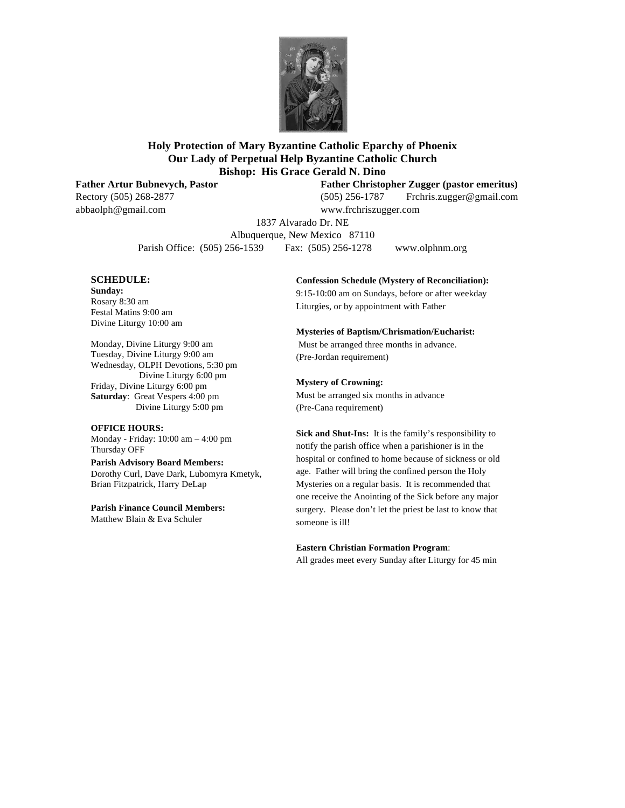

## **Holy Protection of Mary Byzantine Catholic Eparchy of Phoenix Our Lady of Perpetual Help Byzantine Catholic Church Bishop: His Grace Gerald N. Dino**

**Father Artur Bubnevych, Pastor Father Christopher Zugger (pastor emeritus)**

Rectory (505) 268-2877 (505) 256-1787 Frchris.zugger@gmail.com abbaolph@gmail.com www.frchriszugger.com

1837 Alvarado Dr. NE

Albuquerque, New Mexico 87110 Parish Office: (505) 256-1539 Fax: (505) 256-1278 www.olphnm.org

#### **SCHEDULE:**

**Sunday:** Rosary 8:30 am Festal Matins 9:00 am Divine Liturgy 10:00 am

Monday, Divine Liturgy 9:00 am Tuesday, Divine Liturgy 9:00 am Wednesday, OLPH Devotions, 5:30 pm Divine Liturgy 6:00 pm Friday, Divine Liturgy 6:00 pm **Saturday**: Great Vespers 4:00 pm Divine Liturgy 5:00 pm

#### **OFFICE HOURS:**

Monday - Friday: 10:00 am – 4:00 pm Thursday OFF

#### **Parish Advisory Board Members:**

Dorothy Curl, Dave Dark, Lubomyra Kmetyk, Brian Fitzpatrick, Harry DeLap

**Parish Finance Council Members:** Matthew Blain & Eva Schuler

#### **Confession Schedule (Mystery of Reconciliation):**

9:15-10:00 am on Sundays, before or after weekday Liturgies, or by appointment with Father

#### **Mysteries of Baptism/Chrismation/Eucharist:**

Must be arranged three months in advance. (Pre-Jordan requirement)

#### **Mystery of Crowning:**

Must be arranged six months in advance (Pre-Cana requirement)

**Sick and Shut-Ins:** It is the family's responsibility to notify the parish office when a parishioner is in the hospital or confined to home because of sickness or old age. Father will bring the confined person the Holy Mysteries on a regular basis. It is recommended that one receive the Anointing of the Sick before any major surgery. Please don't let the priest be last to know that someone is ill!

#### **Eastern Christian Formation Program**:

All grades meet every Sunday after Liturgy for 45 min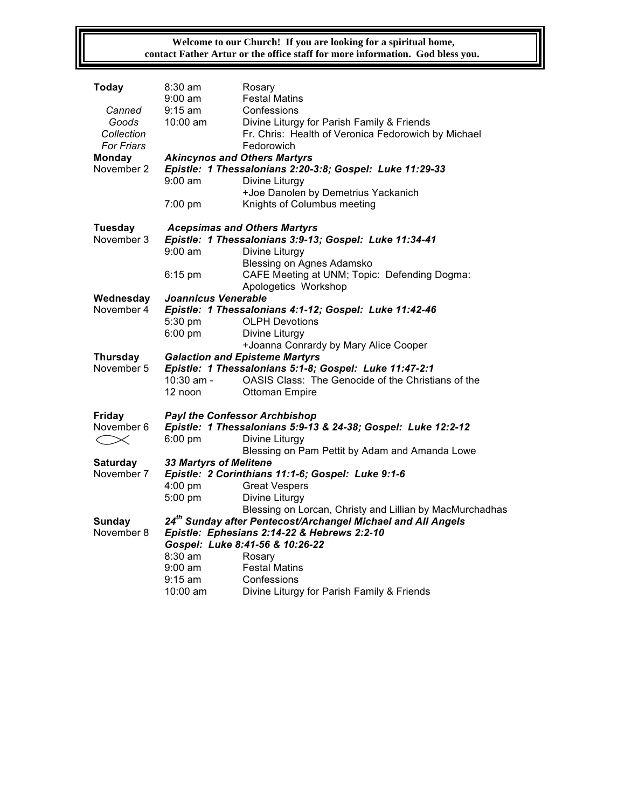**Welcome to our Church! If you are looking for a spiritual home, contact Father Artur or the office staff for more information. God bless you.**

| Today                                                    | 8:30 am<br>$9:00 \text{ am}$                                                                                            | Rosary<br><b>Festal Matins</b>                      |  |  |  |
|----------------------------------------------------------|-------------------------------------------------------------------------------------------------------------------------|-----------------------------------------------------|--|--|--|
| Canned                                                   | $9:15$ am                                                                                                               | Confessions                                         |  |  |  |
| Goods                                                    | $10:00$ am                                                                                                              | Divine Liturgy for Parish Family & Friends          |  |  |  |
| Collection                                               |                                                                                                                         | Fr. Chris: Health of Veronica Fedorowich by Michael |  |  |  |
| <b>For Friars</b>                                        |                                                                                                                         | Fedorowich                                          |  |  |  |
| Monday                                                   | <b>Akincynos and Others Martyrs</b>                                                                                     |                                                     |  |  |  |
| November 2                                               | Epistle: 1 Thessalonians 2:20-3:8; Gospel: Luke 11:29-33                                                                |                                                     |  |  |  |
|                                                          | $9:00$ am                                                                                                               | Divine Liturgy                                      |  |  |  |
|                                                          |                                                                                                                         | +Joe Danolen by Demetrius Yackanich                 |  |  |  |
|                                                          | 7:00 pm                                                                                                                 | Knights of Columbus meeting                         |  |  |  |
| Tuesday                                                  | <b>Acepsimas and Others Martyrs</b>                                                                                     |                                                     |  |  |  |
| November 3                                               | Epistle: 1 Thessalonians 3:9-13; Gospel: Luke 11:34-41                                                                  |                                                     |  |  |  |
|                                                          | $9:00 \text{ am}$                                                                                                       | Divine Liturgy                                      |  |  |  |
|                                                          |                                                                                                                         | Blessing on Agnes Adamsko                           |  |  |  |
|                                                          | $6:15$ pm                                                                                                               | CAFE Meeting at UNM; Topic: Defending Dogma:        |  |  |  |
|                                                          |                                                                                                                         | Apologetics Workshop                                |  |  |  |
| Wednesday<br>November 4                                  | Joannicus Venerable<br>Epistle: 1 Thessalonians 4:1-12; Gospel: Luke 11:42-46                                           |                                                     |  |  |  |
|                                                          | 5:30 pm                                                                                                                 | <b>OLPH Devotions</b>                               |  |  |  |
|                                                          | $6:00$ pm                                                                                                               | Divine Liturgy                                      |  |  |  |
|                                                          |                                                                                                                         | +Joanna Conrardy by Mary Alice Cooper               |  |  |  |
| <b>Thursday</b>                                          | <b>Galaction and Episteme Martyrs</b>                                                                                   |                                                     |  |  |  |
| November 5                                               | Epistle: 1 Thessalonians 5:1-8; Gospel: Luke 11:47-2:1                                                                  |                                                     |  |  |  |
|                                                          | 10:30 am -                                                                                                              | OASIS Class: The Genocide of the Christians of the  |  |  |  |
|                                                          | 12 noon                                                                                                                 | <b>Ottoman Empire</b>                               |  |  |  |
| Friday                                                   | <b>Payl the Confessor Archbishop</b>                                                                                    |                                                     |  |  |  |
| November 6                                               | Epistle: 1 Thessalonians 5:9-13 & 24-38; Gospel: Luke 12:2-12                                                           |                                                     |  |  |  |
| $< \times$                                               | $6:00$ pm                                                                                                               | Divine Liturgy                                      |  |  |  |
|                                                          |                                                                                                                         | Blessing on Pam Pettit by Adam and Amanda Lowe      |  |  |  |
| <b>Saturday</b>                                          | 33 Martyrs of Melitene                                                                                                  |                                                     |  |  |  |
| November 7                                               |                                                                                                                         | Epistle: 2 Corinthians 11:1-6; Gospel: Luke 9:1-6   |  |  |  |
|                                                          | $4:00$ pm                                                                                                               | <b>Great Vespers</b>                                |  |  |  |
|                                                          | 5:00 pm                                                                                                                 | Divine Liturgy                                      |  |  |  |
| Blessing on Lorcan, Christy and Lillian by MacMurchadhas |                                                                                                                         |                                                     |  |  |  |
| <b>Sunday</b><br>November 8                              | 24 <sup>th</sup> Sunday after Pentecost/Archangel Michael and All Angels<br>Epistle: Ephesians 2:14-22 & Hebrews 2:2-10 |                                                     |  |  |  |
|                                                          | Gospel: Luke 8:41-56 & 10:26-22                                                                                         |                                                     |  |  |  |
|                                                          | $8:30$ am                                                                                                               | Rosary                                              |  |  |  |
|                                                          | $9:00$ am                                                                                                               | <b>Festal Matins</b>                                |  |  |  |
|                                                          | $9:15 \text{ am}$                                                                                                       | Confessions                                         |  |  |  |
|                                                          | 10:00 am                                                                                                                | Divine Liturgy for Parish Family & Friends          |  |  |  |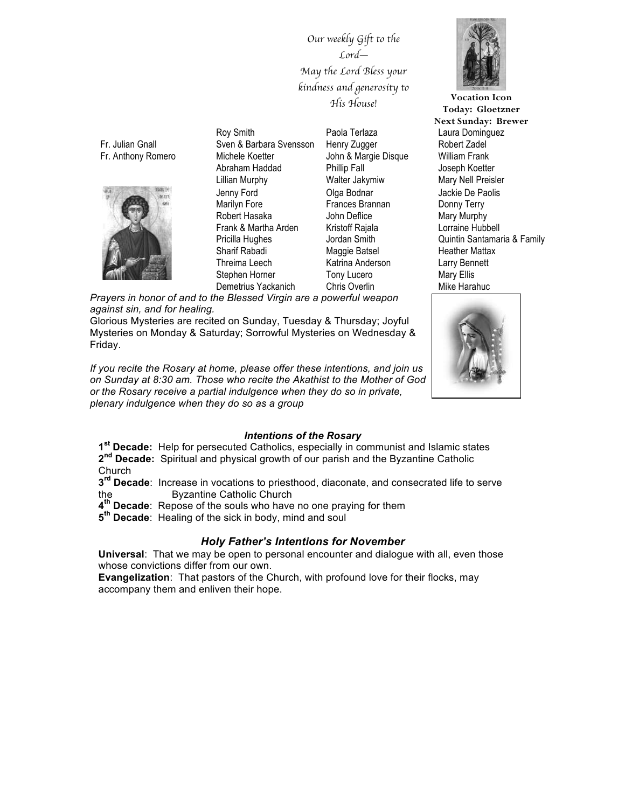*Our weekly Gift to the Lord*— *May the Lord Bless your kindness and generosity to His House!*

Fr. Julian Gnall Fr. Anthony Romero



Roy Smith Sven & Barbara Svensson Michele Koetter Abraham Haddad Lillian Murphy Jenny Ford Marilyn Fore Robert Hasaka Frank & Martha Arden Pricilla Hughes Sharif Rabadi Threima Leech Stephen Horner Demetrius Yackanich

Paola Terlaza Henry Zugger John & Margie Disque Phillip Fall Walter Jakymiw Olga Bodnar Frances Brannan John Deflice Kristoff Rajala Jordan Smith Maggie Batsel Katrina Anderson Tony Lucero Chris Overlin

*Prayers in honor of and to the Blessed Virgin are a powerful weapon against sin, and for healing.* 

Glorious Mysteries are recited on Sunday, Tuesday & Thursday; Joyful Mysteries on Monday & Saturday; Sorrowful Mysteries on Wednesday & Friday.

*If you recite the Rosary at home, please offer these intentions, and join us on Sunday at 8:30 am. Those who recite the Akathist to the Mother of God or the Rosary receive a partial indulgence when they do so in private, plenary indulgence when they do so as a group*



Laura Dominguez Robert Zadel William Frank Joseph Koetter Mary Nell Preisler Jackie De Paolis Donny Terry Mary Murphy Lorraine Hubbell Quintin Santamaria & Family Heather Mattax Larry Bennett Mary Ellis Mike Harahuc **Vocation Icon Today: Gloetzner Next Sunday: Brewer**



### *Intentions of the Rosary*

**1st Decade:** Help for persecuted Catholics, especially in communist and Islamic states **2nd Decade:** Spiritual and physical growth of our parish and the Byzantine Catholic Church

**3rd Decade**: Increase in vocations to priesthood, diaconate, and consecrated life to serve the Byzantine Catholic Church

**4th Decade**: Repose of the souls who have no one praying for them

**5th Decade**: Healing of the sick in body, mind and soul

## *Holy Father's Intentions for November*

**Universal**: That we may be open to personal encounter and dialogue with all, even those whose convictions differ from our own.

**Evangelization**: That pastors of the Church, with profound love for their flocks, may accompany them and enliven their hope.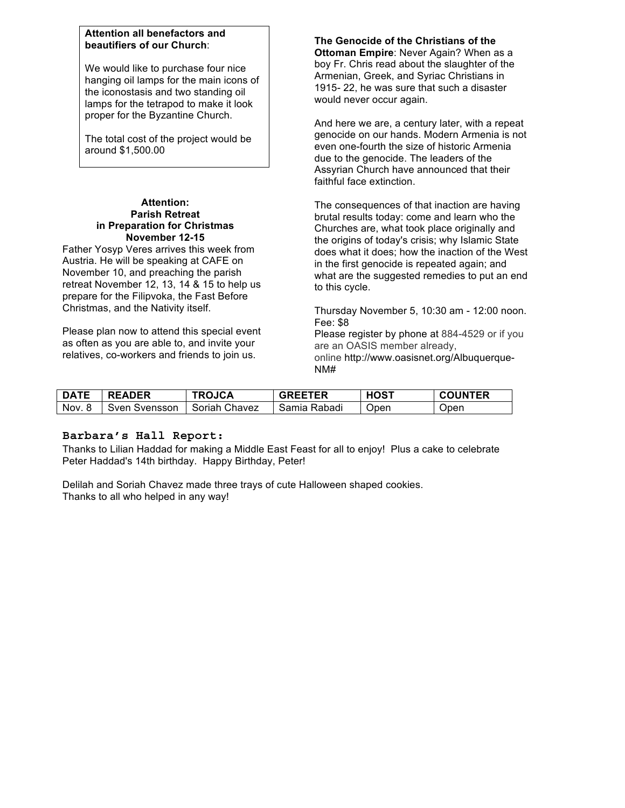## **Attention all benefactors and beautifiers of our Church**:

We would like to purchase four nice hanging oil lamps for the main icons of the iconostasis and two standing oil lamps for the tetrapod to make it look proper for the Byzantine Church.

The total cost of the project would be around \$1,500.00

#### **Attention: Parish Retreat in Preparation for Christmas November 12-15**

Father Yosyp Veres arrives this week from Austria. He will be speaking at CAFE on November 10, and preaching the parish retreat November 12, 13, 14 & 15 to help us prepare for the Filipvoka, the Fast Before Christmas, and the Nativity itself.

Please plan now to attend this special event as often as you are able to, and invite your relatives, co-workers and friends to join us.

**The Genocide of the Christians of the Ottoman Empire**: Never Again? When as a boy Fr. Chris read about the slaughter of the Armenian, Greek, and Syriac Christians in 1915- 22, he was sure that such a disaster would never occur again.

And here we are, a century later, with a repeat genocide on our hands. Modern Armenia is not even one-fourth the size of historic Armenia due to the genocide. The leaders of the Assyrian Church have announced that their faithful face extinction.

The consequences of that inaction are having brutal results today: come and learn who the Churches are, what took place originally and the origins of today's crisis; why Islamic State does what it does; how the inaction of the West in the first genocide is repeated again; and what are the suggested remedies to put an end to this cycle.

Thursday November 5, 10:30 am - 12:00 noon. Fee: \$8

Please register by phone at 884-4529 or if you are an OASIS member already, online http://www.oasisnet.org/Albuquerque-NM#

| <b>DATE</b> | <b>READER</b> | <b>TROJCA</b> | <b>GREETER</b> | <b>HOST</b> | <b>COUNTER</b> |
|-------------|---------------|---------------|----------------|-------------|----------------|
| Nov.        | Sven Svensson | Soriah Chavez | Samia Rabadi   | Open        | Open           |

## **Barbara's Hall Report:**

Thanks to Lilian Haddad for making a Middle East Feast for all to enjoy! Plus a cake to celebrate Peter Haddad's 14th birthday. Happy Birthday, Peter!

Delilah and Soriah Chavez made three trays of cute Halloween shaped cookies. Thanks to all who helped in any way!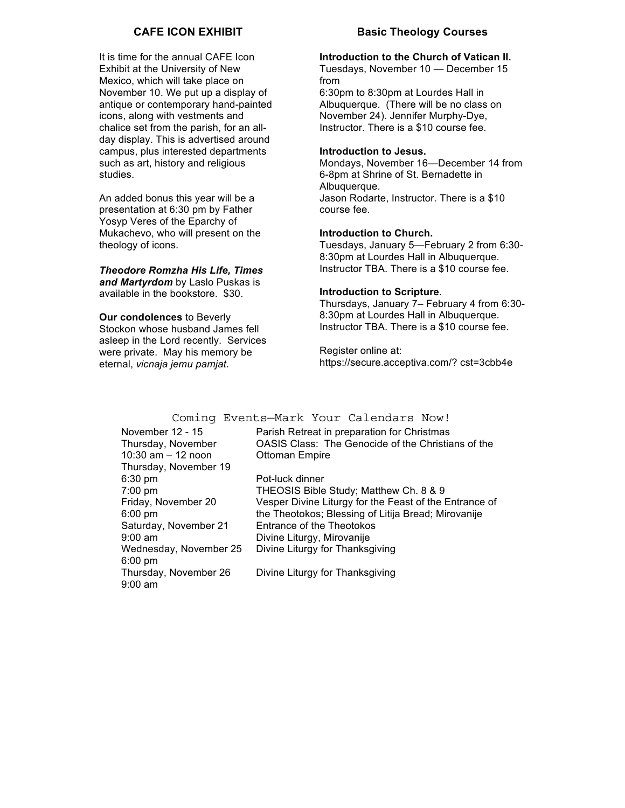## **CAFE ICON EXHIBIT**

It is time for the annual CAFE Icon Exhibit at the University of New Mexico, which will take place on November 10. We put up a display of antique or contemporary hand-painted icons, along with vestments and chalice set from the parish, for an allday display. This is advertised around campus, plus interested departments such as art, history and religious studies.

An added bonus this year will be a presentation at 6:30 pm by Father Yosyp Veres of the Eparchy of Mukachevo, who will present on the theology of icons.

## **Theodore Romzha His Life, Times**

*and Martyrdom* by Laslo Puskas is available in the bookstore. \$30.

**Our condolences** to Beverly Stockon whose husband James fell asleep in the Lord recently. Services were private. May his memory be eternal, *vicnaja jemu pamjat*.

## **Basic Theology Courses**

### **Introduction to the Church of Vatican II.**

Tuesdays, November 10 — December 15 from 6:30pm to 8:30pm at Lourdes Hall in Albuquerque. (There will be no class on November 24). Jennifer Murphy-Dye, Instructor. There is a \$10 course fee.

#### **Introduction to Jesus.**

Mondays, November 16—December 14 from 6-8pm at Shrine of St. Bernadette in Albuquerque. Jason Rodarte, Instructor. There is a \$10 course fee.

#### **Introduction to Church.**

Tuesdays, January 5—February 2 from 6:30- 8:30pm at Lourdes Hall in Albuquerque. Instructor TBA. There is a \$10 course fee.

#### **Introduction to Scripture**.

Thursdays, January 7– February 4 from 6:30- 8:30pm at Lourdes Hall in Albuquerque. Instructor TBA. There is a \$10 course fee.

Register online at: https://secure.acceptiva.com/? cst=3cbb4e

## Coming Events—Mark Your Calendars Now!

| November 12 - 15       | Parish Retreat in preparation for Christmas            |
|------------------------|--------------------------------------------------------|
| Thursday, November     | OASIS Class: The Genocide of the Christians of the     |
| 10:30 $am - 12$ noon   | <b>Ottoman Empire</b>                                  |
| Thursday, November 19  |                                                        |
| $6:30 \text{ pm}$      | Pot-luck dinner                                        |
| $7:00$ pm              | THEOSIS Bible Study; Matthew Ch. 8 & 9                 |
| Friday, November 20    | Vesper Divine Liturgy for the Feast of the Entrance of |
| $6:00 \text{ pm}$      | the Theotokos; Blessing of Litija Bread; Mirovanije    |
| Saturday, November 21  | Entrance of the Theotokos                              |
| $9:00$ am              | Divine Liturgy, Mirovanije                             |
| Wednesday, November 25 | Divine Liturgy for Thanksgiving                        |
| $6:00$ pm              |                                                        |
| Thursday, November 26  | Divine Liturgy for Thanksgiving                        |
| $9:00$ am              |                                                        |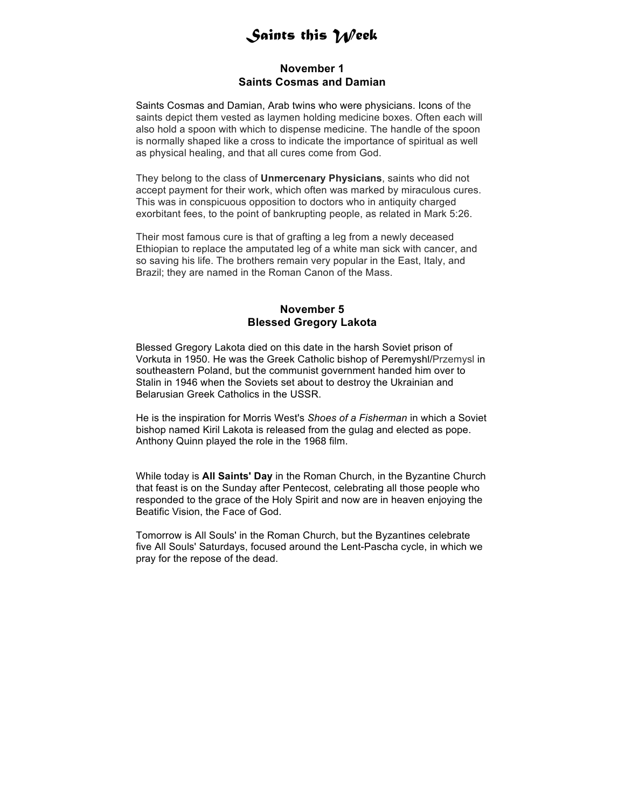# *Saints this Week*

## **November 1 Saints Cosmas and Damian**

Saints Cosmas and Damian, Arab twins who were physicians. Icons of the saints depict them vested as laymen holding medicine boxes. Often each will also hold a spoon with which to dispense medicine. The handle of the spoon is normally shaped like a cross to indicate the importance of spiritual as well as physical healing, and that all cures come from God.

They belong to the class of **Unmercenary Physicians**, saints who did not accept payment for their work, which often was marked by miraculous cures. This was in conspicuous opposition to doctors who in antiquity charged exorbitant fees, to the point of bankrupting people, as related in Mark 5:26.

Their most famous cure is that of grafting a leg from a newly deceased Ethiopian to replace the amputated leg of a white man sick with cancer, and so saving his life. The brothers remain very popular in the East, Italy, and Brazil; they are named in the Roman Canon of the Mass.

## **November 5 Blessed Gregory Lakota**

Blessed Gregory Lakota died on this date in the harsh Soviet prison of Vorkuta in 1950. He was the Greek Catholic bishop of Peremyshl/Przemysl in southeastern Poland, but the communist government handed him over to Stalin in 1946 when the Soviets set about to destroy the Ukrainian and Belarusian Greek Catholics in the USSR.

He is the inspiration for Morris West's *Shoes of a Fisherman* in which a Soviet bishop named Kiril Lakota is released from the gulag and elected as pope. Anthony Quinn played the role in the 1968 film.

While today is **All Saints' Day** in the Roman Church, in the Byzantine Church that feast is on the Sunday after Pentecost, celebrating all those people who responded to the grace of the Holy Spirit and now are in heaven enjoying the Beatific Vision, the Face of God.

Tomorrow is All Souls' in the Roman Church, but the Byzantines celebrate five All Souls' Saturdays, focused around the Lent-Pascha cycle, in which we pray for the repose of the dead.